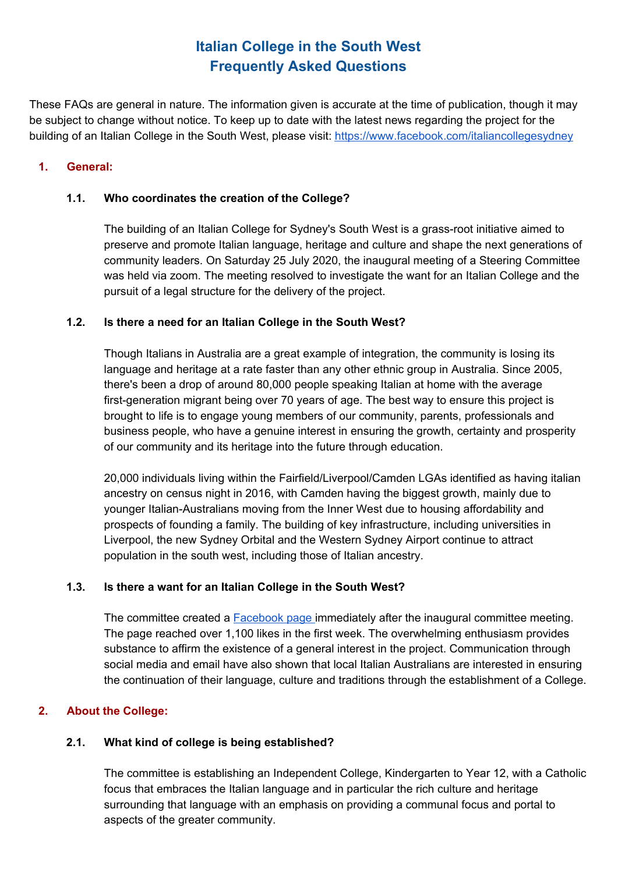These FAQs are general in nature. The information given is accurate at the time of publication, though it may be subject to change without notice. To keep up to date with the latest news regarding the project for the building of an Italian College in the South West, please visit: <https://www.facebook.com/italiancollegesydney>

### **1. General:**

### **1.1. Who coordinates the creation of the College?**

The building of an Italian College for Sydney's South West is a grass-root initiative aimed to preserve and promote Italian language, heritage and culture and shape the next generations of community leaders. On Saturday 25 July 2020, the inaugural meeting of a Steering Committee was held via zoom. The meeting resolved to investigate the want for an Italian College and the pursuit of a legal structure for the delivery of the project.

## **1.2. Is there a need for an Italian College in the South West?**

Though Italians in Australia are a great example of integration, the community is losing its language and heritage at a rate faster than any other ethnic group in Australia. Since 2005, there's been a drop of around 80,000 people speaking Italian at home with the average first-generation migrant being over 70 years of age. The best way to ensure this project is brought to life is to engage young members of our community, parents, professionals and business people, who have a genuine interest in ensuring the growth, certainty and prosperity of our community and its heritage into the future through education.

20,000 individuals living within the Fairfield/Liverpool/Camden LGAs identified as having italian ancestry on census night in 2016, with Camden having the biggest growth, mainly due to younger Italian-Australians moving from the Inner West due to housing affordability and prospects of founding a family. The building of key infrastructure, including universities in Liverpool, the new Sydney Orbital and the Western Sydney Airport continue to attract population in the south west, including those of Italian ancestry.

### **1.3. Is there a want for an Italian College in the South West?**

The committee created a [Facebook](https://www.facebook.com/italiancollegesydney) page immediately after the inaugural committee meeting. The page reached over 1,100 likes in the first week. The overwhelming enthusiasm provides substance to affirm the existence of a general interest in the project. Communication through social media and email have also shown that local Italian Australians are interested in ensuring the continuation of their language, culture and traditions through the establishment of a College.

## **2. About the College:**

## **2.1. What kind of college is being established?**

The committee is establishing an Independent College, Kindergarten to Year 12, with a Catholic focus that embraces the Italian language and in particular the rich culture and heritage surrounding that language with an emphasis on providing a communal focus and portal to aspects of the greater community.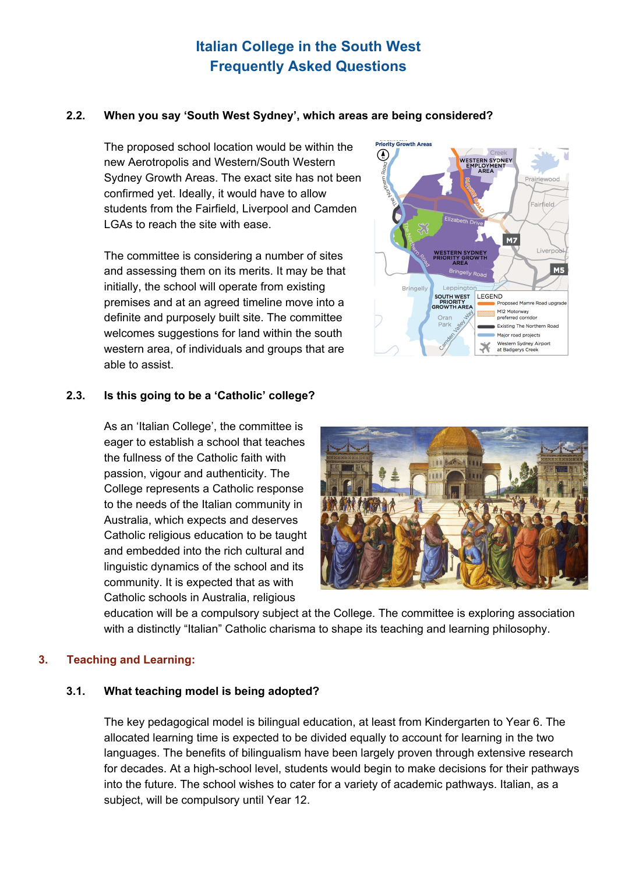### **2.2. When you say 'South West Sydney', which areas are being considered?**

The proposed school location would be within the new Aerotropolis and Western/South Western Sydney Growth Areas. The exact site has not been confirmed yet. Ideally, it would have to allow students from the Fairfield, Liverpool and Camden LGAs to reach the site with ease.

The committee is considering a number of sites and assessing them on its merits. It may be that initially, the school will operate from existing premises and at an agreed timeline move into a definite and purposely built site. The committee welcomes suggestions for land within the south western area, of individuals and groups that are able to assist.



#### **2.3. Is this going to be a 'Catholic' college?**

As an 'Italian College', the committee is eager to establish a school that teaches the fullness of the Catholic faith with passion, vigour and authenticity. The College represents a Catholic response to the needs of the Italian community in Australia, which expects and deserves Catholic religious education to be taught and embedded into the rich cultural and linguistic dynamics of the school and its community. It is expected that as with Catholic schools in Australia, religious



education will be a compulsory subject at the College. The committee is exploring association with a distinctly "Italian" Catholic charisma to shape its teaching and learning philosophy.

#### **3. Teaching and Learning:**

#### **3.1. What teaching model is being adopted?**

The key pedagogical model is bilingual education, at least from Kindergarten to Year 6. The allocated learning time is expected to be divided equally to account for learning in the two languages. The benefits of bilingualism have been largely proven through extensive research for decades. At a high-school level, students would begin to make decisions for their pathways into the future. The school wishes to cater for a variety of academic pathways. Italian, as a subject, will be compulsory until Year 12.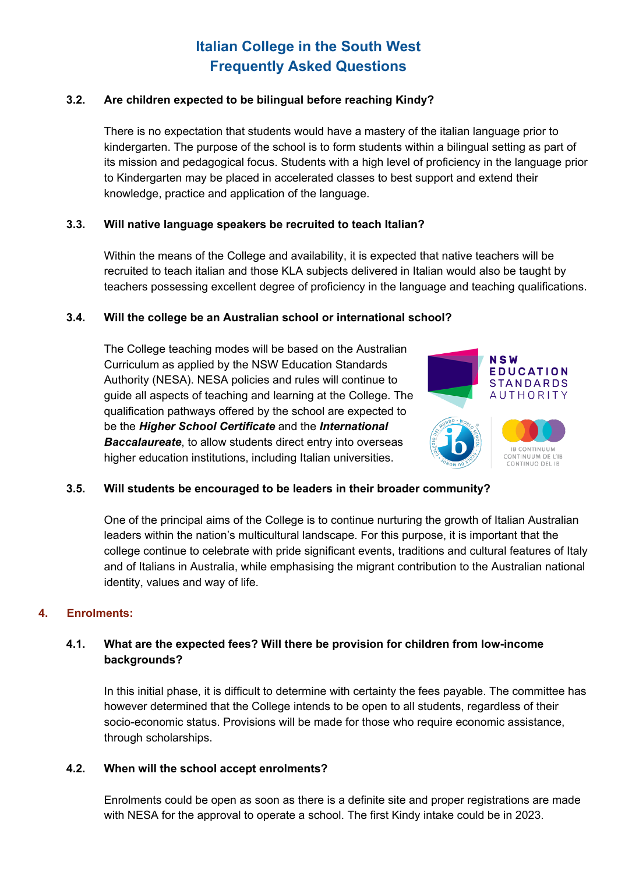### **3.2. Are children expected to be bilingual before reaching Kindy?**

There is no expectation that students would have a mastery of the italian language prior to kindergarten. The purpose of the school is to form students within a bilingual setting as part of its mission and pedagogical focus. Students with a high level of proficiency in the language prior to Kindergarten may be placed in accelerated classes to best support and extend their knowledge, practice and application of the language.

#### **3.3. Will native language speakers be recruited to teach Italian?**

Within the means of the College and availability, it is expected that native teachers will be recruited to teach italian and those KLA subjects delivered in Italian would also be taught by teachers possessing excellent degree of proficiency in the language and teaching qualifications.

#### **3.4. Will the college be an Australian school or international school?**

The College teaching modes will be based on the Australian Curriculum as applied by the NSW Education Standards Authority (NESA). NESA policies and rules will continue to guide all aspects of teaching and learning at the College. The qualification pathways offered by the school are expected to be the *Higher School Certificate* and the *International Baccalaureate*, to allow students direct entry into overseas higher education institutions, including Italian universities.



### **3.5. Will students be encouraged to be leaders in their broader community?**

One of the principal aims of the College is to continue nurturing the growth of Italian Australian leaders within the nation's multicultural landscape. For this purpose, it is important that the college continue to celebrate with pride significant events, traditions and cultural features of Italy and of Italians in Australia, while emphasising the migrant contribution to the Australian national identity, values and way of life.

#### **4. Enrolments:**

### **4.1. What are the expected fees? Will there be provision for children from low-income backgrounds?**

In this initial phase, it is difficult to determine with certainty the fees payable. The committee has however determined that the College intends to be open to all students, regardless of their socio-economic status. Provisions will be made for those who require economic assistance, through scholarships.

#### **4.2. When will the school accept enrolments?**

Enrolments could be open as soon as there is a definite site and proper registrations are made with NESA for the approval to operate a school. The first Kindy intake could be in 2023.